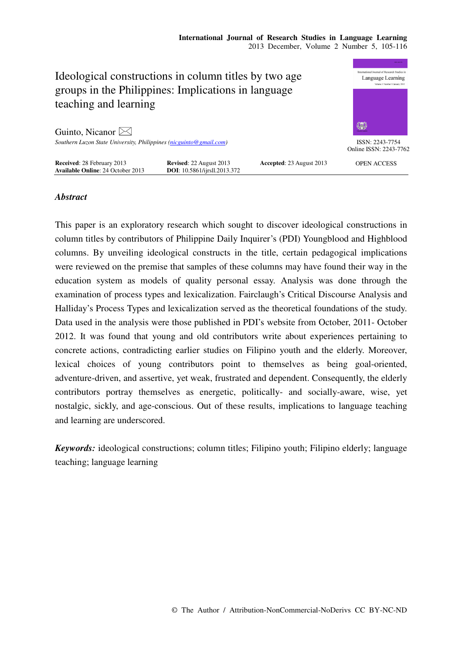

# *Abstract*

This paper is an exploratory research which sought to discover ideological constructions in column titles by contributors of Philippine Daily Inquirer's (PDI) Youngblood and Highblood columns. By unveiling ideological constructs in the title, certain pedagogical implications were reviewed on the premise that samples of these columns may have found their way in the education system as models of quality personal essay. Analysis was done through the examination of process types and lexicalization. Fairclaugh's Critical Discourse Analysis and Halliday's Process Types and lexicalization served as the theoretical foundations of the study. Data used in the analysis were those published in PDI's website from October, 2011- October 2012. It was found that young and old contributors write about experiences pertaining to concrete actions, contradicting earlier studies on Filipino youth and the elderly. Moreover, lexical choices of young contributors point to themselves as being goal-oriented, adventure-driven, and assertive, yet weak, frustrated and dependent. Consequently, the elderly contributors portray themselves as energetic, politically- and socially-aware, wise, yet nostalgic, sickly, and age-conscious. Out of these results, implications to language teaching and learning are underscored.

*Keywords:* ideological constructions; column titles; Filipino youth; Filipino elderly; language teaching; language learning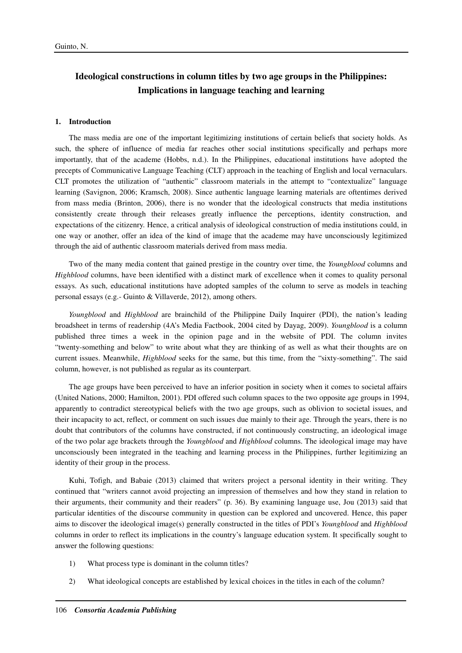# **Ideological constructions in column titles by two age groups in the Philippines: Implications in language teaching and learning**

## **1. Introduction**

The mass media are one of the important legitimizing institutions of certain beliefs that society holds. As such, the sphere of influence of media far reaches other social institutions specifically and perhaps more importantly, that of the academe (Hobbs, n.d.). In the Philippines, educational institutions have adopted the precepts of Communicative Language Teaching (CLT) approach in the teaching of English and local vernaculars. CLT promotes the utilization of "authentic" classroom materials in the attempt to "contextualize" language learning (Savignon, 2006; Kramsch, 2008). Since authentic language learning materials are oftentimes derived from mass media (Brinton, 2006), there is no wonder that the ideological constructs that media institutions consistently create through their releases greatly influence the perceptions, identity construction, and expectations of the citizenry. Hence, a critical analysis of ideological construction of media institutions could, in one way or another, offer an idea of the kind of image that the academe may have unconsciously legitimized through the aid of authentic classroom materials derived from mass media.

Two of the many media content that gained prestige in the country over time, the *Youngblood* columns and *Highblood* columns, have been identified with a distinct mark of excellence when it comes to quality personal essays. As such, educational institutions have adopted samples of the column to serve as models in teaching personal essays (e.g.- Guinto & Villaverde, 2012), among others.

*Youngblood* and *Highblood* are brainchild of the Philippine Daily Inquirer (PDI), the nation's leading broadsheet in terms of readership (4A's Media Factbook, 2004 cited by Dayag, 2009). *Youngblood* is a column published three times a week in the opinion page and in the website of PDI. The column invites "twenty-something and below" to write about what they are thinking of as well as what their thoughts are on current issues. Meanwhile, *Highblood* seeks for the same, but this time, from the "sixty-something". The said column, however, is not published as regular as its counterpart.

The age groups have been perceived to have an inferior position in society when it comes to societal affairs (United Nations, 2000; Hamilton, 2001). PDI offered such column spaces to the two opposite age groups in 1994, apparently to contradict stereotypical beliefs with the two age groups, such as oblivion to societal issues, and their incapacity to act, reflect, or comment on such issues due mainly to their age. Through the years, there is no doubt that contributors of the columns have constructed, if not continuously constructing, an ideological image of the two polar age brackets through the *Youngblood* and *Highblood* columns. The ideological image may have unconsciously been integrated in the teaching and learning process in the Philippines, further legitimizing an identity of their group in the process.

Kuhi, Tofigh, and Babaie (2013) claimed that writers project a personal identity in their writing. They continued that "writers cannot avoid projecting an impression of themselves and how they stand in relation to their arguments, their community and their readers" (p. 36). By examining language use, Jou (2013) said that particular identities of the discourse community in question can be explored and uncovered. Hence, this paper aims to discover the ideological image(s) generally constructed in the titles of PDI's *Youngblood* and *Highblood* columns in order to reflect its implications in the country's language education system. It specifically sought to answer the following questions:

- 1) What process type is dominant in the column titles?
- 2) What ideological concepts are established by lexical choices in the titles in each of the column?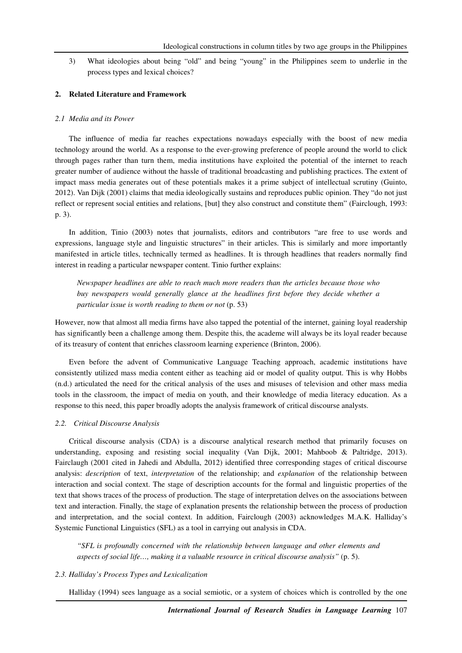3) What ideologies about being "old" and being "young" in the Philippines seem to underlie in the process types and lexical choices?

## **2. Related Literature and Framework**

#### *2.1 Media and its Power*

The influence of media far reaches expectations nowadays especially with the boost of new media technology around the world. As a response to the ever-growing preference of people around the world to click through pages rather than turn them, media institutions have exploited the potential of the internet to reach greater number of audience without the hassle of traditional broadcasting and publishing practices. The extent of impact mass media generates out of these potentials makes it a prime subject of intellectual scrutiny (Guinto, 2012). Van Dijk (2001) claims that media ideologically sustains and reproduces public opinion. They "do not just reflect or represent social entities and relations, [but] they also construct and constitute them" (Fairclough, 1993: p. 3).

In addition, Tinio (2003) notes that journalists, editors and contributors "are free to use words and expressions, language style and linguistic structures" in their articles. This is similarly and more importantly manifested in article titles, technically termed as headlines. It is through headlines that readers normally find interest in reading a particular newspaper content. Tinio further explains:

*Newspaper headlines are able to reach much more readers than the articles because those who buy newspapers would generally glance at the headlines first before they decide whether a particular issue is worth reading to them or not* (p. 53)

However, now that almost all media firms have also tapped the potential of the internet, gaining loyal readership has significantly been a challenge among them. Despite this, the academe will always be its loyal reader because of its treasury of content that enriches classroom learning experience (Brinton, 2006).

Even before the advent of Communicative Language Teaching approach, academic institutions have consistently utilized mass media content either as teaching aid or model of quality output. This is why Hobbs (n.d.) articulated the need for the critical analysis of the uses and misuses of television and other mass media tools in the classroom, the impact of media on youth, and their knowledge of media literacy education. As a response to this need, this paper broadly adopts the analysis framework of critical discourse analysts.

## *2.2. Critical Discourse Analysis*

Critical discourse analysis (CDA) is a discourse analytical research method that primarily focuses on understanding, exposing and resisting social inequality (Van Dijk, 2001; Mahboob & Paltridge, 2013). Fairclaugh (2001 cited in Jahedi and Abdulla, 2012) identified three corresponding stages of critical discourse analysis: *description* of text, *interpretation* of the relationship; and *explanation* of the relationship between interaction and social context. The stage of description accounts for the formal and linguistic properties of the text that shows traces of the process of production. The stage of interpretation delves on the associations between text and interaction. Finally, the stage of explanation presents the relationship between the process of production and interpretation, and the social context. In addition, Fairclough (2003) acknowledges M.A.K. Halliday's Systemic Functional Linguistics (SFL) as a tool in carrying out analysis in CDA.

*"SFL is profoundly concerned with the relationship between language and other elements and aspects of social life…, making it a valuable resource in critical discourse analysis"* (p. 5).

## *2.3. Halliday's Process Types and Lexicalization*

Halliday (1994) sees language as a social semiotic, or a system of choices which is controlled by the one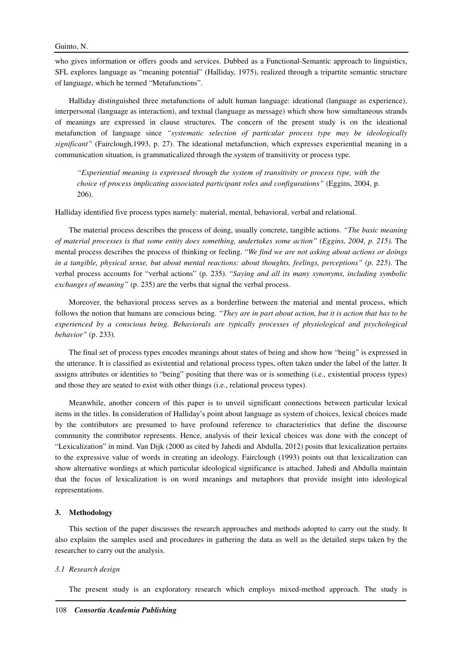who gives information or offers goods and services. Dubbed as a Functional-Semantic approach to linguistics, SFL explores language as "meaning potential" (Halliday, 1975), realized through a tripartite semantic structure of language, which he termed "Metafunctions".

Halliday distinguished three metafunctions of adult human language: ideational (language as experience), interpersonal (language as interaction), and textual (language as message) which show how simultaneous strands of meanings are expressed in clause structures. The concern of the present study is on the ideational metafunction of language since *"systematic selection of particular process type may be ideologically significant"* (Fairclough,1993, p. 27). The ideational metafunction, which expresses experiential meaning in a communication situation, is grammaticalized through the system of transitivity or process type.

*"Experiential meaning is expressed through the system of transitivity or process type, with the choice of process implicating associated participant roles and configurations"* (Eggins, 2004, p. 206).

Halliday identified five process types namely: material, mental, behavioral, verbal and relational.

The material process describes the process of doing, usually concrete, tangible actions. *"The basic meaning of material processes is that some entity does something, undertakes some action" (Eggins, 2004, p. 215).* The mental process describes the process of thinking or feeling. "*We find we are not asking about actions or doings in a tangible, physical sense, but about mental reactions: about thoughts, feelings, perceptions" (p. 225)*. The verbal process accounts for "verbal actions" (p. 235). "*Saying and all its many synonyms, including symbolic exchanges of meaning"* (p. 235) are the verbs that signal the verbal process.

Moreover, the behavioral process serves as a borderline between the material and mental process, which follows the notion that humans are conscious being. *"They are in part about action, but it is action that has to be experienced by a conscious being. Behaviorals are typically processes of physiological and psychological behavior"* (p. 233).

The final set of process types encodes meanings about states of being and show how "being" is expressed in the utterance. It is classified as existential and relational process types, often taken under the label of the latter. It assigns attributes or identities to "being" positing that there was or is something (i.e., existential process types) and those they are seated to exist with other things (i.e., relational process types).

Meanwhile, another concern of this paper is to unveil significant connections between particular lexical items in the titles. In consideration of Halliday's point about language as system of choices, lexical choices made by the contributors are presumed to have profound reference to characteristics that define the discourse community the contributor represents. Hence, analysis of their lexical choices was done with the concept of "Lexicalization" in mind. Van Dijk (2000 as cited by Jahedi and Abdulla, 2012) posits that lexicalization pertains to the expressive value of words in creating an ideology. Fairclough (1993) points out that lexicalization can show alternative wordings at which particular ideological significance is attached. Jahedi and Abdulla maintain that the focus of lexicalization is on word meanings and metaphors that provide insight into ideological representations.

## **3. Methodology**

This section of the paper discusses the research approaches and methods adopted to carry out the study. It also explains the samples used and procedures in gathering the data as well as the detailed steps taken by the researcher to carry out the analysis.

#### *3.1 Research design*

The present study is an exploratory research which employs mixed-method approach. The study is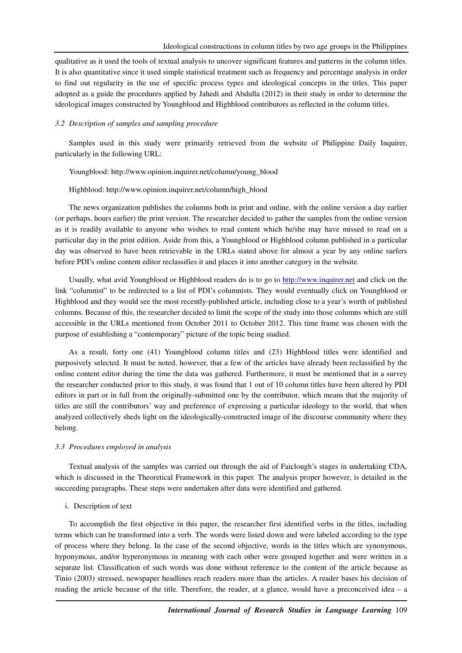qualitative as it used the tools of textual analysis to uncover significant features and patterns in the column titles. It is also quantitative since it used simple statistical treatment such as frequency and percentage analysis in order to find out regularity in the use of specific process types and ideological concepts in the titles. This paper adopted as a guide the procedures applied by Jahedi and Abdulla (2012) in their study in order to determine the ideological images constructed by Youngblood and Highblood contributors as reflected in the column titles.

## *3.2 Description of samples and sampling procedure*

Samples used in this study were primarily retrieved from the website of Philippine Daily Inquirer, particularly in the following URL:

#### Youngblood: http://www.opinion.inquirer.net/column/young\_blood

## Highblood: http://www.opinion.inquirer.net/column/high\_blood

The news organization publishes the columns both in print and online, with the online version a day earlier (or perhaps, hours earlier) the print version. The researcher decided to gather the samples from the online version as it is readily available to anyone who wishes to read content which he/she may have missed to read on a particular day in the print edition. Aside from this, a Youngblood or Highblood column published in a particular day was observed to have been retrievable in the URLs stated above for almost a year by any online surfers before PDI's online content editor reclassifies it and places it into another category in the website.

Usually, what avid Youngblood or Highblood readers do is to go to http://www.inquirer.net and click on the link "columnist" to be redirected to a list of PDI's columnists. They would eventually click on Youngblood or Highblood and they would see the most recently-published article, including close to a year's worth of published columns. Because of this, the researcher decided to limit the scope of the study into those columns which are still accessible in the URLs mentioned from October 2011 to October 2012. This time frame was chosen with the purpose of establishing a "contemporary" picture of the topic being studied.

As a result, forty one (41) Youngblood column titles and (23) Highblood titles were identified and purposively selected. It must be noted, however, that a few of the articles have already been reclassified by the online content editor during the time the data was gathered. Furthermore, it must be mentioned that in a survey the researcher conducted prior to this study, it was found that 1 out of 10 column titles have been altered by PDI editors in part or in full from the originally-submitted one by the contributor, which means that the majority of titles are still the contributors' way and preference of expressing a particular ideology to the world, that when analyzed collectively sheds light on the ideologically-constructed image of the discourse community where they belong.

## *3.3 Procedures employed in analysis*

Textual analysis of the samples was carried out through the aid of Faiclough's stages in undertaking CDA, which is discussed in the Theoretical Framework in this paper. The analysis proper however, is detailed in the succeeding paragraphs. These steps were undertaken after data were identified and gathered.

## i. Description of text

To accomplish the first objective in this paper, the researcher first identified verbs in the titles, including terms which can be transformed into a verb. The words were listed down and were labeled according to the type of process where they belong. In the case of the second objective, words in the titles which are synonymous, hyponymous, and/or hyperonymous in meaning with each other were grouped together and were written in a separate list. Classification of such words was done without reference to the content of the article because as Tinio (2003) stressed, newspaper headlines reach readers more than the articles. A reader bases his decision of reading the article because of the title. Therefore, the reader, at a glance, would have a preconceived idea – a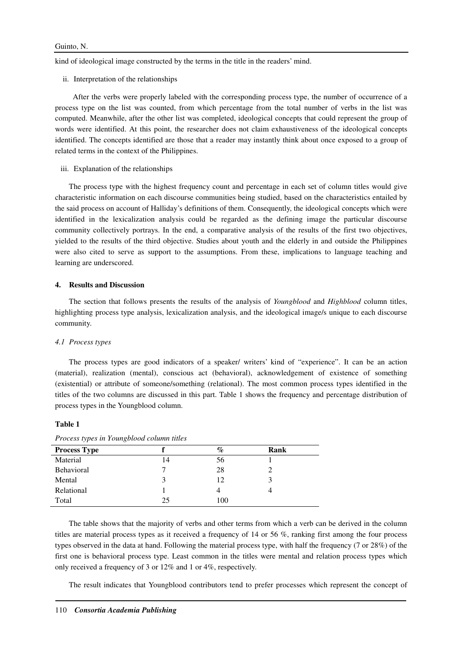kind of ideological image constructed by the terms in the title in the readers' mind.

ii. Interpretation of the relationships

 After the verbs were properly labeled with the corresponding process type, the number of occurrence of a process type on the list was counted, from which percentage from the total number of verbs in the list was computed. Meanwhile, after the other list was completed, ideological concepts that could represent the group of words were identified. At this point, the researcher does not claim exhaustiveness of the ideological concepts identified. The concepts identified are those that a reader may instantly think about once exposed to a group of related terms in the context of the Philippines.

iii. Explanation of the relationships

The process type with the highest frequency count and percentage in each set of column titles would give characteristic information on each discourse communities being studied, based on the characteristics entailed by the said process on account of Halliday's definitions of them. Consequently, the ideological concepts which were identified in the lexicalization analysis could be regarded as the defining image the particular discourse community collectively portrays. In the end, a comparative analysis of the results of the first two objectives, yielded to the results of the third objective. Studies about youth and the elderly in and outside the Philippines were also cited to serve as support to the assumptions. From these, implications to language teaching and learning are underscored.

## **4. Results and Discussion**

The section that follows presents the results of the analysis of *Youngblood* and *Highblood* column titles, highlighting process type analysis, lexicalization analysis, and the ideological image/s unique to each discourse community.

## *4.1 Process types*

The process types are good indicators of a speaker/ writers' kind of "experience". It can be an action (material), realization (mental), conscious act (behavioral), acknowledgement of existence of something (existential) or attribute of someone/something (relational). The most common process types identified in the titles of the two columns are discussed in this part. Table 1 shows the frequency and percentage distribution of process types in the Youngblood column.

#### **Table 1**

|    | %   | Rank |  |
|----|-----|------|--|
| 14 | 56  |      |  |
|    | 28  |      |  |
|    | 12  |      |  |
|    |     |      |  |
| 25 | 100 |      |  |
|    |     |      |  |

*Process types in Youngblood column titles* 

The table shows that the majority of verbs and other terms from which a verb can be derived in the column titles are material process types as it received a frequency of 14 or 56 %, ranking first among the four process types observed in the data at hand. Following the material process type, with half the frequency (7 or 28%) of the first one is behavioral process type. Least common in the titles were mental and relation process types which only received a frequency of 3 or 12% and 1 or 4%, respectively.

The result indicates that Youngblood contributors tend to prefer processes which represent the concept of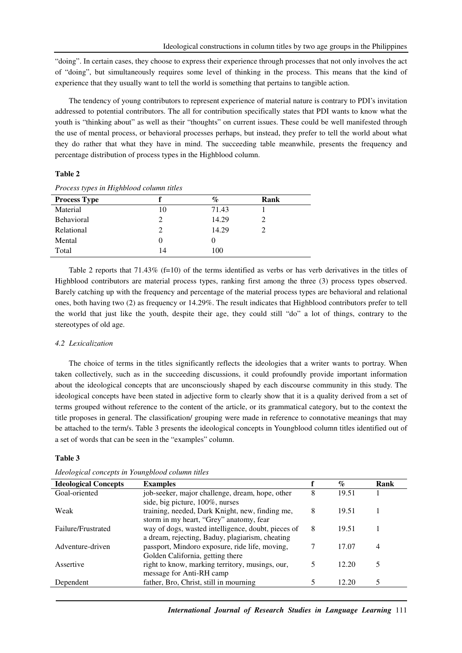"doing". In certain cases, they choose to express their experience through processes that not only involves the act of "doing", but simultaneously requires some level of thinking in the process. This means that the kind of experience that they usually want to tell the world is something that pertains to tangible action.

The tendency of young contributors to represent experience of material nature is contrary to PDI's invitation addressed to potential contributors. The all for contribution specifically states that PDI wants to know what the youth is "thinking about" as well as their "thoughts" on current issues. These could be well manifested through the use of mental process, or behavioral processes perhaps, but instead, they prefer to tell the world about what they do rather that what they have in mind. The succeeding table meanwhile, presents the frequency and percentage distribution of process types in the Highblood column.

# **Table 2**

| <b>Process Type</b> |    | $\%$  | Rank |  |  |
|---------------------|----|-------|------|--|--|
| Material            | 10 | 71.43 |      |  |  |
| Behavioral          |    | 14.29 |      |  |  |
| Relational          |    | 14.29 |      |  |  |
| Mental              |    |       |      |  |  |
| Total               | 14 | 100   |      |  |  |

*Process types in Highblood column titles* 

Table 2 reports that 71.43% (f=10) of the terms identified as verbs or has verb derivatives in the titles of Highblood contributors are material process types, ranking first among the three (3) process types observed. Barely catching up with the frequency and percentage of the material process types are behavioral and relational ones, both having two (2) as frequency or 14.29%. The result indicates that Highblood contributors prefer to tell the world that just like the youth, despite their age, they could still "do" a lot of things, contrary to the stereotypes of old age.

## *4.2 Lexicalization*

The choice of terms in the titles significantly reflects the ideologies that a writer wants to portray. When taken collectively, such as in the succeeding discussions, it could profoundly provide important information about the ideological concepts that are unconsciously shaped by each discourse community in this study. The ideological concepts have been stated in adjective form to clearly show that it is a quality derived from a set of terms grouped without reference to the content of the article, or its grammatical category, but to the context the title proposes in general. The classification/ grouping were made in reference to connotative meanings that may be attached to the term/s. Table 3 presents the ideological concepts in Youngblood column titles identified out of a set of words that can be seen in the "examples" column.

#### **Table 3**

| <b>Ideological Concepts</b> | <b>Examples</b>                                    |   | $\mathcal{O}_{\mathcal{O}}$ | Rank           |
|-----------------------------|----------------------------------------------------|---|-----------------------------|----------------|
| Goal-oriented               | job-seeker, major challenge, dream, hope, other    | 8 | 19.51                       |                |
|                             | side, big picture, 100%, nurses                    |   |                             |                |
| Weak                        | training, needed, Dark Knight, new, finding me,    | 8 | 19.51                       |                |
|                             | storm in my heart, "Grey" anatomy, fear            |   |                             |                |
| Failure/Frustrated          | way of dogs, wasted intelligence, doubt, pieces of | 8 | 19.51                       |                |
|                             | a dream, rejecting, Baduy, plagiarism, cheating    |   |                             |                |
| Adventure-driven            | passport, Mindoro exposure, ride life, moving,     |   | 17.07                       | $\overline{4}$ |
|                             | Golden California, getting there                   |   |                             |                |
| Assertive                   | right to know, marking territory, musings, our,    |   | 12.20                       |                |
|                             | message for Anti-RH camp                           |   |                             |                |
| Dependent                   | father, Bro, Christ, still in mourning             |   | 12.20                       | 5              |
|                             |                                                    |   |                             |                |

*Ideological concepts in Youngblood column titles*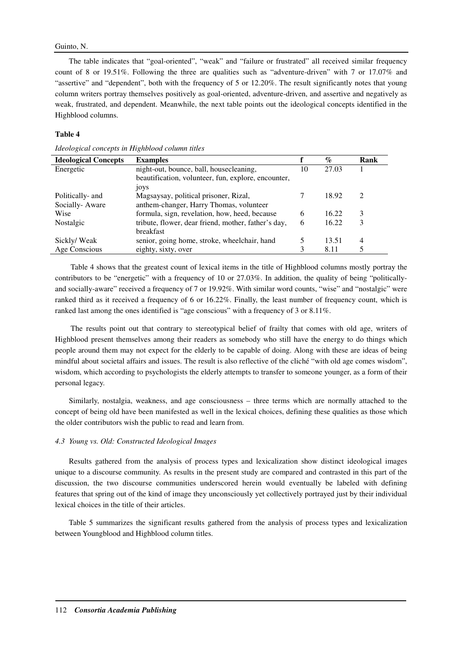# Guinto, N.

The table indicates that "goal-oriented", "weak" and "failure or frustrated" all received similar frequency count of 8 or 19.51%. Following the three are qualities such as "adventure-driven" with 7 or 17.07% and "assertive" and "dependent", both with the frequency of 5 or 12.20%. The result significantly notes that young column writers portray themselves positively as goal-oriented, adventure-driven, and assertive and negatively as weak, frustrated, and dependent. Meanwhile, the next table points out the ideological concepts identified in the Highblood columns.

# **Table 4**

| <b>Ideological Concepts</b> | <b>Examples</b>                                     |   | $\%$  | Rank          |
|-----------------------------|-----------------------------------------------------|---|-------|---------------|
| Energetic                   | night-out, bounce, ball, housecleaning,             |   | 27.03 |               |
|                             | beautification, volunteer, fun, explore, encounter, |   |       |               |
|                             | 10 <sub>y</sub> s                                   |   |       |               |
| Politically- and            | Magsaysay, political prisoner, Rizal,               |   | 18.92 | $\mathcal{D}$ |
| Socially-Aware              | anthem-changer, Harry Thomas, volunteer             |   |       |               |
| Wise                        | formula, sign, revelation, how, heed, because       | 6 | 16.22 | 3             |
| Nostalgic                   | tribute, flower, dear friend, mother, father's day, | 6 | 16.22 | 3             |
|                             | breakfast                                           |   |       |               |
| Sickly/Weak                 | senior, going home, stroke, wheelchair, hand        | 5 | 13.51 | 4             |
| Age Conscious               | eighty, sixty, over                                 |   | 8.11  | 5             |

*Ideological concepts in Highblood column titles* 

Table 4 shows that the greatest count of lexical items in the title of Highblood columns mostly portray the contributors to be "energetic" with a frequency of 10 or 27.03%. In addition, the quality of being "politicallyand socially-aware" received a frequency of 7 or 19.92%. With similar word counts, "wise" and "nostalgic" were ranked third as it received a frequency of 6 or 16.22%. Finally, the least number of frequency count, which is ranked last among the ones identified is "age conscious" with a frequency of 3 or 8.11%.

The results point out that contrary to stereotypical belief of frailty that comes with old age, writers of Highblood present themselves among their readers as somebody who still have the energy to do things which people around them may not expect for the elderly to be capable of doing. Along with these are ideas of being mindful about societal affairs and issues. The result is also reflective of the cliché "with old age comes wisdom", wisdom, which according to psychologists the elderly attempts to transfer to someone younger, as a form of their personal legacy.

Similarly, nostalgia, weakness, and age consciousness – three terms which are normally attached to the concept of being old have been manifested as well in the lexical choices, defining these qualities as those which the older contributors wish the public to read and learn from.

# *4.3 Young vs. Old: Constructed Ideological Images*

Results gathered from the analysis of process types and lexicalization show distinct ideological images unique to a discourse community. As results in the present study are compared and contrasted in this part of the discussion, the two discourse communities underscored herein would eventually be labeled with defining features that spring out of the kind of image they unconsciously yet collectively portrayed just by their individual lexical choices in the title of their articles.

Table 5 summarizes the significant results gathered from the analysis of process types and lexicalization between Youngblood and Highblood column titles.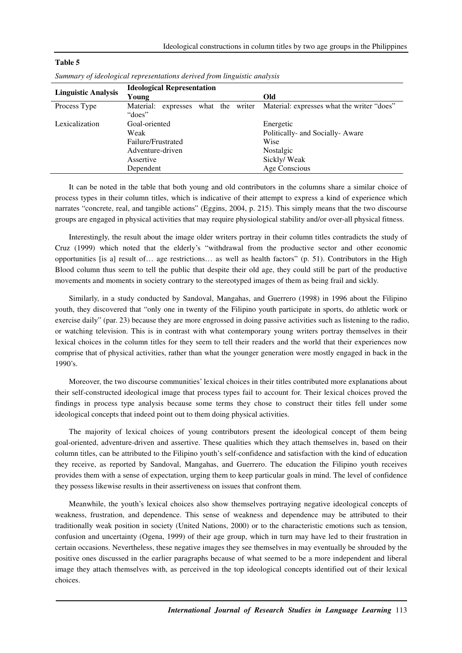| <b>Linguistic Analysis</b> | <b>Ideological Representation</b> |                                                                      |  |  |  |
|----------------------------|-----------------------------------|----------------------------------------------------------------------|--|--|--|
|                            | Young                             | Old                                                                  |  |  |  |
| Process Type               | Material:                         | expresses what the writer Material: expresses what the writer "does" |  |  |  |
|                            | "does"                            |                                                                      |  |  |  |
| Lexicalization             | Goal-oriented                     | Energetic                                                            |  |  |  |
|                            | Weak                              | Politically- and Socially-Aware                                      |  |  |  |
|                            | Failure/Frustrated                | Wise                                                                 |  |  |  |
|                            | Adventure-driven                  | Nostalgic                                                            |  |  |  |
|                            | Assertive                         | Sickly/Weak                                                          |  |  |  |
|                            | Dependent                         | Age Conscious                                                        |  |  |  |

|  | Summary of ideological representations derived from linguistic analysis |  |  |
|--|-------------------------------------------------------------------------|--|--|
|  |                                                                         |  |  |

**Table 5** 

It can be noted in the table that both young and old contributors in the columns share a similar choice of process types in their column titles, which is indicative of their attempt to express a kind of experience which narrates "concrete, real, and tangible actions" (Eggins, 2004, p. 215). This simply means that the two discourse groups are engaged in physical activities that may require physiological stability and/or over-all physical fitness.

Interestingly, the result about the image older writers portray in their column titles contradicts the study of Cruz (1999) which noted that the elderly's "withdrawal from the productive sector and other economic opportunities [is a] result of… age restrictions… as well as health factors" (p. 51). Contributors in the High Blood column thus seem to tell the public that despite their old age, they could still be part of the productive movements and moments in society contrary to the stereotyped images of them as being frail and sickly.

Similarly, in a study conducted by Sandoval, Mangahas, and Guerrero (1998) in 1996 about the Filipino youth, they discovered that "only one in twenty of the Filipino youth participate in sports, do athletic work or exercise daily" (par. 23) because they are more engrossed in doing passive activities such as listening to the radio, or watching television. This is in contrast with what contemporary young writers portray themselves in their lexical choices in the column titles for they seem to tell their readers and the world that their experiences now comprise that of physical activities, rather than what the younger generation were mostly engaged in back in the 1990's.

Moreover, the two discourse communities' lexical choices in their titles contributed more explanations about their self-constructed ideological image that process types fail to account for. Their lexical choices proved the findings in process type analysis because some terms they chose to construct their titles fell under some ideological concepts that indeed point out to them doing physical activities.

The majority of lexical choices of young contributors present the ideological concept of them being goal-oriented, adventure-driven and assertive. These qualities which they attach themselves in, based on their column titles, can be attributed to the Filipino youth's self-confidence and satisfaction with the kind of education they receive, as reported by Sandoval, Mangahas, and Guerrero. The education the Filipino youth receives provides them with a sense of expectation, urging them to keep particular goals in mind. The level of confidence they possess likewise results in their assertiveness on issues that confront them.

Meanwhile, the youth's lexical choices also show themselves portraying negative ideological concepts of weakness, frustration, and dependence. This sense of weakness and dependence may be attributed to their traditionally weak position in society (United Nations, 2000) or to the characteristic emotions such as tension, confusion and uncertainty (Ogena, 1999) of their age group, which in turn may have led to their frustration in certain occasions. Nevertheless, these negative images they see themselves in may eventually be shrouded by the positive ones discussed in the earlier paragraphs because of what seemed to be a more independent and liberal image they attach themselves with, as perceived in the top ideological concepts identified out of their lexical choices.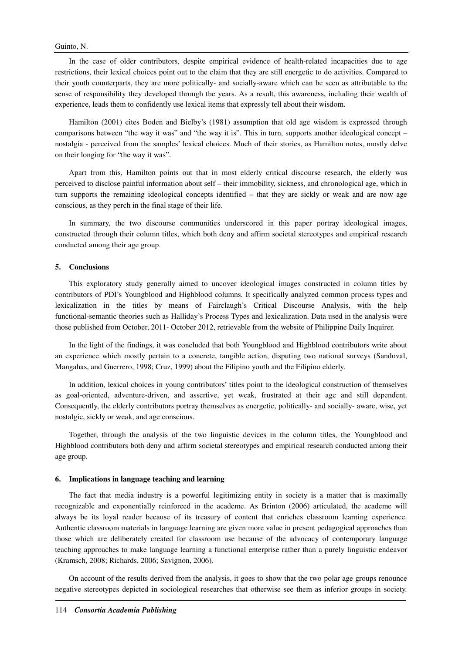In the case of older contributors, despite empirical evidence of health-related incapacities due to age restrictions, their lexical choices point out to the claim that they are still energetic to do activities. Compared to their youth counterparts, they are more politically- and socially-aware which can be seen as attributable to the sense of responsibility they developed through the years. As a result, this awareness, including their wealth of experience, leads them to confidently use lexical items that expressly tell about their wisdom.

Hamilton (2001) cites Boden and Bielby's (1981) assumption that old age wisdom is expressed through comparisons between "the way it was" and "the way it is". This in turn, supports another ideological concept – nostalgia - perceived from the samples' lexical choices. Much of their stories, as Hamilton notes, mostly delve on their longing for "the way it was".

Apart from this, Hamilton points out that in most elderly critical discourse research, the elderly was perceived to disclose painful information about self – their immobility, sickness, and chronological age, which in turn supports the remaining ideological concepts identified – that they are sickly or weak and are now age conscious, as they perch in the final stage of their life.

In summary, the two discourse communities underscored in this paper portray ideological images, constructed through their column titles, which both deny and affirm societal stereotypes and empirical research conducted among their age group.

## **5. Conclusions**

This exploratory study generally aimed to uncover ideological images constructed in column titles by contributors of PDI's Youngblood and Highblood columns. It specifically analyzed common process types and lexicalization in the titles by means of Fairclaugh's Critical Discourse Analysis, with the help functional-semantic theories such as Halliday's Process Types and lexicalization. Data used in the analysis were those published from October, 2011- October 2012, retrievable from the website of Philippine Daily Inquirer.

In the light of the findings, it was concluded that both Youngblood and Highblood contributors write about an experience which mostly pertain to a concrete, tangible action, disputing two national surveys (Sandoval, Mangahas, and Guerrero, 1998; Cruz, 1999) about the Filipino youth and the Filipino elderly.

In addition, lexical choices in young contributors' titles point to the ideological construction of themselves as goal-oriented, adventure-driven, and assertive, yet weak, frustrated at their age and still dependent. Consequently, the elderly contributors portray themselves as energetic, politically- and socially- aware, wise, yet nostalgic, sickly or weak, and age conscious.

Together, through the analysis of the two linguistic devices in the column titles, the Youngblood and Highblood contributors both deny and affirm societal stereotypes and empirical research conducted among their age group.

# **6. Implications in language teaching and learning**

The fact that media industry is a powerful legitimizing entity in society is a matter that is maximally recognizable and exponentially reinforced in the academe. As Brinton (2006) articulated, the academe will always be its loyal reader because of its treasury of content that enriches classroom learning experience. Authentic classroom materials in language learning are given more value in present pedagogical approaches than those which are deliberately created for classroom use because of the advocacy of contemporary language teaching approaches to make language learning a functional enterprise rather than a purely linguistic endeavor (Kramsch, 2008; Richards, 2006; Savignon, 2006).

On account of the results derived from the analysis, it goes to show that the two polar age groups renounce negative stereotypes depicted in sociological researches that otherwise see them as inferior groups in society.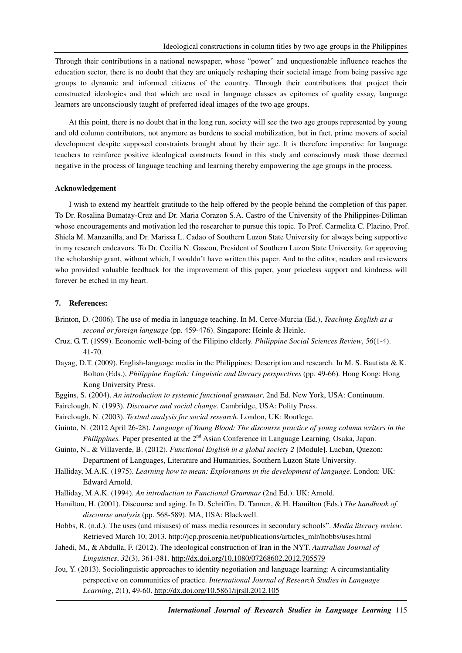Through their contributions in a national newspaper, whose "power" and unquestionable influence reaches the education sector, there is no doubt that they are uniquely reshaping their societal image from being passive age groups to dynamic and informed citizens of the country. Through their contributions that project their constructed ideologies and that which are used in language classes as epitomes of quality essay, language learners are unconsciously taught of preferred ideal images of the two age groups.

At this point, there is no doubt that in the long run, society will see the two age groups represented by young and old column contributors, not anymore as burdens to social mobilization, but in fact, prime movers of social development despite supposed constraints brought about by their age. It is therefore imperative for language teachers to reinforce positive ideological constructs found in this study and consciously mask those deemed negative in the process of language teaching and learning thereby empowering the age groups in the process.

#### **Acknowledgement**

I wish to extend my heartfelt gratitude to the help offered by the people behind the completion of this paper. To Dr. Rosalina Bumatay-Cruz and Dr. Maria Corazon S.A. Castro of the University of the Philippines-Diliman whose encouragements and motivation led the researcher to pursue this topic. To Prof. Carmelita C. Placino, Prof. Shiela M. Manzanilla, and Dr. Marissa L. Cadao of Southern Luzon State University for always being supportive in my research endeavors. To Dr. Cecilia N. Gascon, President of Southern Luzon State University, for approving the scholarship grant, without which, I wouldn't have written this paper. And to the editor, readers and reviewers who provided valuable feedback for the improvement of this paper, your priceless support and kindness will forever be etched in my heart.

# **7. References:**

- Brinton, D. (2006). The use of media in language teaching. In M. Cerce-Murcia (Ed.), *Teaching English as a second or foreign language* (pp. 459-476). Singapore: Heinle & Heinle.
- Cruz, G. T. (1999). Economic well-being of the Filipino elderly. *Philippine Social Sciences Review*, *56*(1-4). 41-70.
- Dayag, D.T. (2009). English-language media in the Philippines: Description and research. In M. S. Bautista & K. Bolton (Eds.), *Philippine English: Linguistic and literary perspectives* (pp. 49-66)*.* Hong Kong: Hong Kong University Press.
- Eggins, S. (2004). *An introduction to systemic functional grammar*, 2nd Ed. New York, USA: Continuum.
- Fairclough, N. (1993). *Discourse and social change*. Cambridge, USA: Polity Press.
- Fairclough, N. (2003). *Textual analysis for social research.* London, UK: Routlege.

Guinto, N. (2012 April 26-28). *Language of Young Blood: The discourse practice of young column writers in the Philippines.* Paper presented at the 2<sup>nd</sup> Asian Conference in Language Learning, Osaka, Japan.

- Guinto, N., & Villaverde, B. (2012). *Functional English in a global society 2* [Module]. Lucban, Quezon: Department of Languages, Literature and Humanities, Southern Luzon State University.
- Halliday, M.A.K. (1975). *Learning how to mean: Explorations in the development of language*. London: UK: Edward Arnold.
- Halliday, M.A.K. (1994). *An introduction to Functional Grammar* (2nd Ed.). UK: Arnold.
- Hamilton, H. (2001). Discourse and aging. In D. Schriffin, D. Tannen, & H. Hamilton (Eds.) *The handbook of discourse analysis* (pp. 568-589). MA, USA: Blackwell.
- Hobbs, R. (n.d.). The uses (and misuses) of mass media resources in secondary schools". *Media literacy review*. Retrieved March 10, 2013. http://jcp.proscenia.net/publications/articles\_mlr/hobbs/uses.html
- Jahedi, M., & Abdulla, F. (2012). The ideological construction of Iran in the NYT. *Australian Journal of Linguistics*, *32*(3), 361-381. http://dx.doi.org/10.1080/07268602.2012.705579
- Jou, Y. (2013). Sociolinguistic approaches to identity negotiation and language learning: A circumstantiality perspective on communities of practice. *International Journal of Research Studies in Language Learning*, *2*(1), 49-60. http://dx.doi.org/10.5861/ijrsll.2012.105